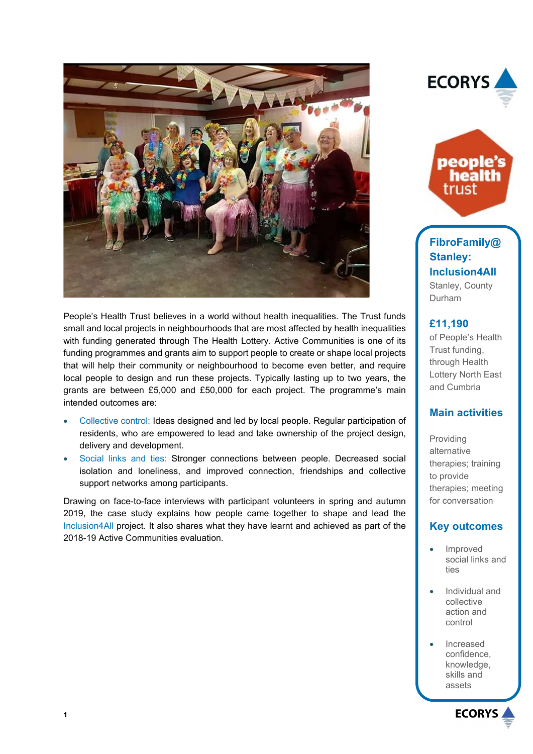

People's Health Trust believes in a world without health inequalities. The Trust funds small and local projects in neighbourhoods that are most affected by health inequalities with funding generated through The Health Lottery. Active Communities is one of its funding programmes and grants aim to support people to create or shape local projects that will help their community or neighbourhood to become even better, and require local people to design and run these projects. Typically lasting up to two years, the grants are between £5,000 and £50,000 for each project. The programme's main intended outcomes are:

- Collective control: Ideas designed and led by local people. Regular participation of residents, who are empowered to lead and take ownership of the project design, delivery and development.
- Social links and ties: Stronger connections between people. Decreased social isolation and loneliness, and improved connection, friendships and collective support networks among participants.

Drawing on face-to-face interviews with participant volunteers in spring and autumn 2019, the case study explains how people came together to shape and lead the Inclusion4All project. It also shares what they have learnt and achieved as part of the 2018-19 Active Communities evaluation.





**FibroFamily@ Stanley: Inclusion4All** Stanley, County Durham

### **£11,190**

of People's Health Trust funding, through Health Lottery North East and Cumbria

## **Main activities**

Providing alternative therapies; training to provide therapies; meeting for conversation

## **Key outcomes**

- Improved social links and ties
- Individual and collective action and control
- Increased confidence, knowledge, skills and assets

**ECORYS**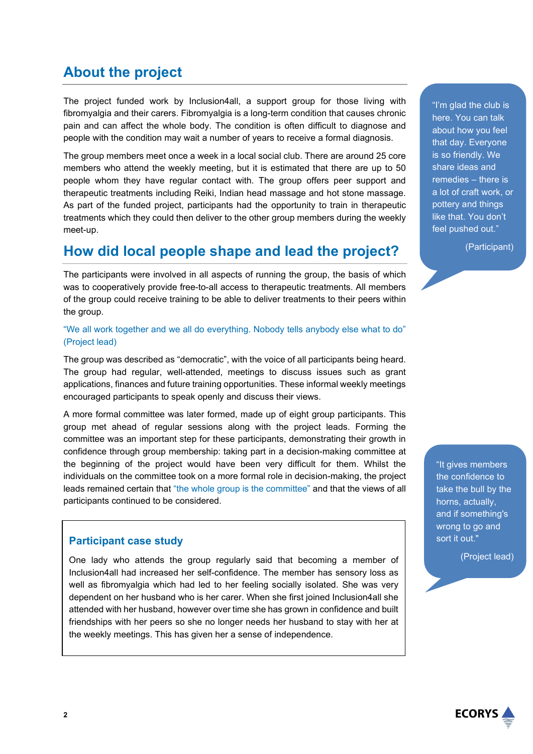# **About the project**

The project funded work by Inclusion4all, a support group for those living with fibromyalgia and their carers. Fibromyalgia is a long-term condition that causes chronic pain and can affect the whole body. The condition is often difficult to diagnose and people with the condition may wait a number of years to receive a formal diagnosis.

The group members meet once a week in a local social club. There are around 25 core members who attend the weekly meeting, but it is estimated that there are up to 50 people whom they have regular contact with. The group offers peer support and therapeutic treatments including Reiki, Indian head massage and hot stone massage. As part of the funded project, participants had the opportunity to train in therapeutic treatments which they could then deliver to the other group members during the weekly meet-up.

## **How did local people shape and lead the project?**

The participants were involved in all aspects of running the group, the basis of which was to cooperatively provide free-to-all access to therapeutic treatments. All members of the group could receive training to be able to deliver treatments to their peers within the group.

#### "We all work together and we all do everything. Nobody tells anybody else what to do" (Project lead)

The group was described as "democratic", with the voice of all participants being heard. The group had regular, well-attended, meetings to discuss issues such as grant applications, finances and future training opportunities. These informal weekly meetings encouraged participants to speak openly and discuss their views.

A more formal committee was later formed, made up of eight group participants. This group met ahead of regular sessions along with the project leads. Forming the committee was an important step for these participants, demonstrating their growth in confidence through group membership: taking part in a decision-making committee at the beginning of the project would have been very difficult for them. Whilst the individuals on the committee took on a more formal role in decision-making, the project leads remained certain that "the whole group is the committee" and that the views of all participants continued to be considered.

### **Participant case study**

One lady who attends the group regularly said that becoming a member of Inclusion4all had increased her self-confidence. The member has sensory loss as well as fibromyalgia which had led to her feeling socially isolated. She was very dependent on her husband who is her carer. When she first joined Inclusion4all she attended with her husband, however over time she has grown in confidence and built friendships with her peers so she no longer needs her husband to stay with her at the weekly meetings. This has given her a sense of independence.

"I'm glad the club is here. You can talk about how you feel that day. Everyone is so friendly. We share ideas and remedies – there is a lot of craft work, or pottery and things like that. You don't feel pushed out."

(Participant)

"It gives members the confidence to take the bull by the horns, actually, and if something's wrong to go and sort it out."

(Project lead)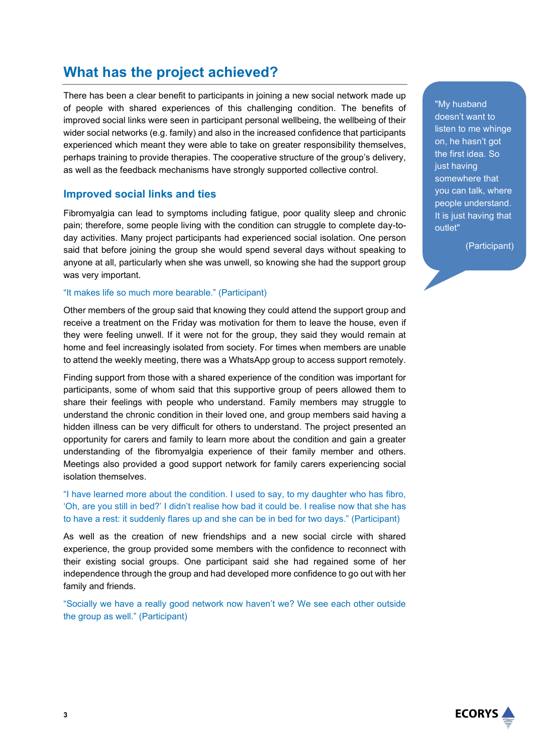# **What has the project achieved?**

There has been a clear benefit to participants in joining a new social network made up of people with shared experiences of this challenging condition. The benefits of improved social links were seen in participant personal wellbeing, the wellbeing of their wider social networks (e.g. family) and also in the increased confidence that participants experienced which meant they were able to take on greater responsibility themselves, perhaps training to provide therapies. The cooperative structure of the group's delivery, as well as the feedback mechanisms have strongly supported collective control.

### **Improved social links and ties**

Fibromyalgia can lead to symptoms including fatigue, poor quality sleep and chronic pain; therefore, some people living with the condition can struggle to complete day-today activities. Many project participants had experienced social isolation. One person said that before joining the group she would spend several days without speaking to anyone at all, particularly when she was unwell, so knowing she had the support group was very important.

#### "It makes life so much more bearable." (Participant)

Other members of the group said that knowing they could attend the support group and receive a treatment on the Friday was motivation for them to leave the house, even if they were feeling unwell. If it were not for the group, they said they would remain at home and feel increasingly isolated from society. For times when members are unable to attend the weekly meeting, there was a WhatsApp group to access support remotely.

Finding support from those with a shared experience of the condition was important for participants, some of whom said that this supportive group of peers allowed them to share their feelings with people who understand. Family members may struggle to understand the chronic condition in their loved one, and group members said having a hidden illness can be very difficult for others to understand. The project presented an opportunity for carers and family to learn more about the condition and gain a greater understanding of the fibromyalgia experience of their family member and others. Meetings also provided a good support network for family carers experiencing social isolation themselves.

"I have learned more about the condition. I used to say, to my daughter who has fibro, 'Oh, are you still in bed?' I didn't realise how bad it could be. I realise now that she has to have a rest: it suddenly flares up and she can be in bed for two days." (Participant)

As well as the creation of new friendships and a new social circle with shared experience, the group provided some members with the confidence to reconnect with their existing social groups. One participant said she had regained some of her independence through the group and had developed more confidence to go out with her family and friends.

"Socially we have a really good network now haven't we? We see each other outside the group as well." (Participant)

"My husband doesn't want to listen to me whinge on, he hasn't got the first idea. So just having somewhere that you can talk, where people understand. It is just having that outlet"

(Participant)

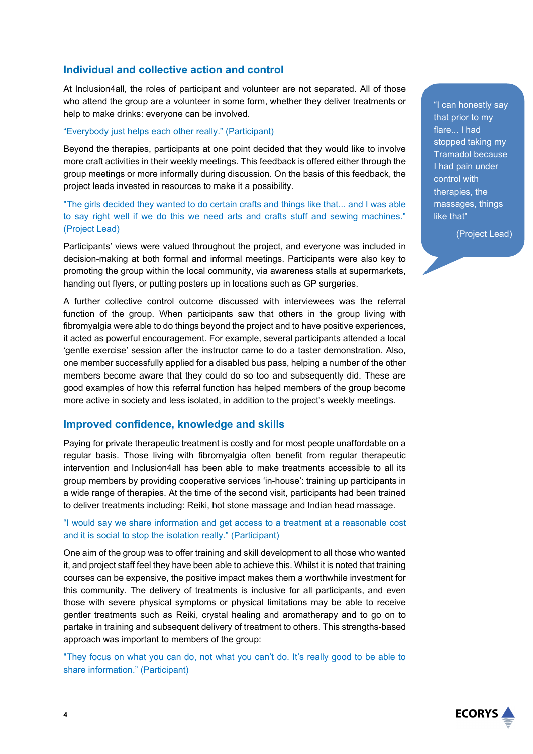## **Individual and collective action and control**

At Inclusion4all, the roles of participant and volunteer are not separated. All of those who attend the group are a volunteer in some form, whether they deliver treatments or help to make drinks: everyone can be involved.

#### "Everybody just helps each other really." (Participant)

Beyond the therapies, participants at one point decided that they would like to involve more craft activities in their weekly meetings. This feedback is offered either through the group meetings or more informally during discussion. On the basis of this feedback, the project leads invested in resources to make it a possibility.

"The girls decided they wanted to do certain crafts and things like that... and I was able to say right well if we do this we need arts and crafts stuff and sewing machines." (Project Lead)

Participants' views were valued throughout the project, and everyone was included in decision-making at both formal and informal meetings. Participants were also key to promoting the group within the local community, via awareness stalls at supermarkets, handing out flyers, or putting posters up in locations such as GP surgeries.

A further collective control outcome discussed with interviewees was the referral function of the group. When participants saw that others in the group living with fibromyalgia were able to do things beyond the project and to have positive experiences, it acted as powerful encouragement. For example, several participants attended a local 'gentle exercise' session after the instructor came to do a taster demonstration. Also, one member successfully applied for a disabled bus pass, helping a number of the other members become aware that they could do so too and subsequently did. These are good examples of how this referral function has helped members of the group become more active in society and less isolated, in addition to the project's weekly meetings.

### **Improved confidence, knowledge and skills**

Paying for private therapeutic treatment is costly and for most people unaffordable on a regular basis. Those living with fibromyalgia often benefit from regular therapeutic intervention and Inclusion4all has been able to make treatments accessible to all its group members by providing cooperative services 'in-house': training up participants in a wide range of therapies. At the time of the second visit, participants had been trained to deliver treatments including: Reiki, hot stone massage and Indian head massage.

#### "I would say we share information and get access to a treatment at a reasonable cost and it is social to stop the isolation really." (Participant)

One aim of the group was to offer training and skill development to all those who wanted it, and project staff feel they have been able to achieve this. Whilst it is noted that training courses can be expensive, the positive impact makes them a worthwhile investment for this community. The delivery of treatments is inclusive for all participants, and even those with severe physical symptoms or physical limitations may be able to receive gentler treatments such as Reiki, crystal healing and aromatherapy and to go on to partake in training and subsequent delivery of treatment to others. This strengths-based approach was important to members of the group:

"They focus on what you can do, not what you can't do. It's really good to be able to share information." (Participant)

"I can honestly say that prior to my flare... I had stopped taking my Tramadol because I had pain under control with therapies, the massages, things like that"

(Project Lead)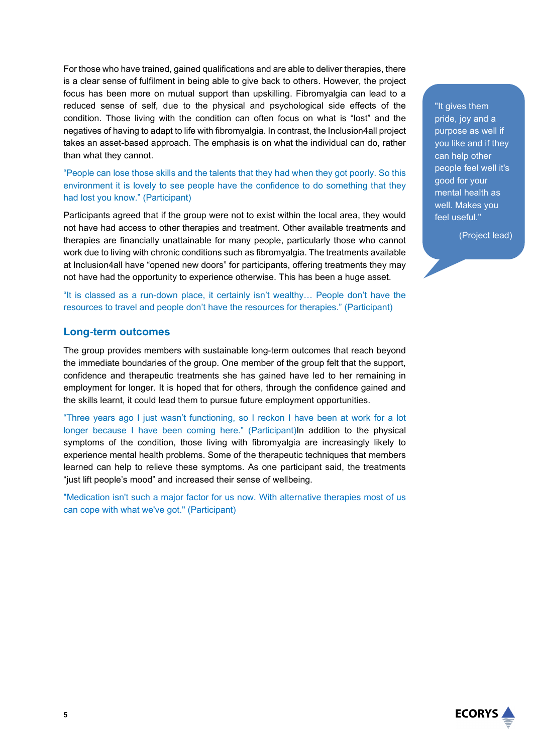For those who have trained, gained qualifications and are able to deliver therapies, there is a clear sense of fulfilment in being able to give back to others. However, the project focus has been more on mutual support than upskilling. Fibromyalgia can lead to a reduced sense of self, due to the physical and psychological side effects of the condition. Those living with the condition can often focus on what is "lost" and the negatives of having to adapt to life with fibromyalgia. In contrast, the Inclusion4all project takes an asset-based approach. The emphasis is on what the individual can do, rather than what they cannot.

"People can lose those skills and the talents that they had when they got poorly. So this environment it is lovely to see people have the confidence to do something that they had lost you know." (Participant)

Participants agreed that if the group were not to exist within the local area, they would not have had access to other therapies and treatment. Other available treatments and therapies are financially unattainable for many people, particularly those who cannot work due to living with chronic conditions such as fibromyalgia. The treatments available at Inclusion4all have "opened new doors" for participants, offering treatments they may not have had the opportunity to experience otherwise. This has been a huge asset.

"It is classed as a run-down place, it certainly isn't wealthy… People don't have the resources to travel and people don't have the resources for therapies." (Participant)

#### **Long-term outcomes**

The group provides members with sustainable long-term outcomes that reach beyond the immediate boundaries of the group. One member of the group felt that the support, confidence and therapeutic treatments she has gained have led to her remaining in employment for longer. It is hoped that for others, through the confidence gained and the skills learnt, it could lead them to pursue future employment opportunities.

"Three years ago I just wasn't functioning, so I reckon I have been at work for a lot longer because I have been coming here." (Participant)In addition to the physical symptoms of the condition, those living with fibromyalgia are increasingly likely to experience mental health problems. Some of the therapeutic techniques that members learned can help to relieve these symptoms. As one participant said, the treatments "just lift people's mood" and increased their sense of wellbeing.

"Medication isn't such a major factor for us now. With alternative therapies most of us can cope with what we've got." (Participant)

"It gives them pride, joy and a purpose as well if you like and if they can help other people feel well it's good for your mental health as well. Makes you feel useful."

(Project lead)